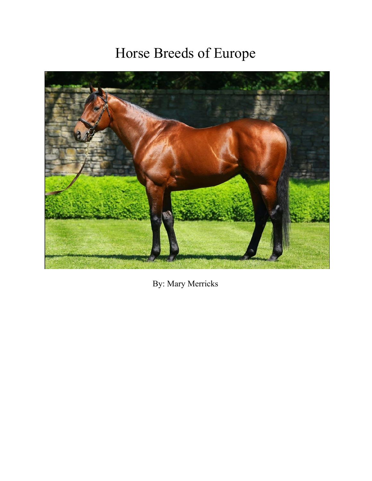# Horse Breeds of Europe



By: Mary Merricks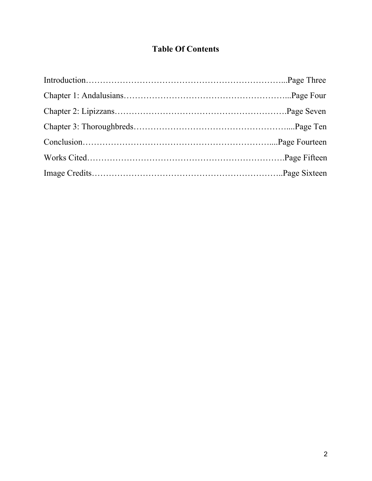## **Table Of Contents**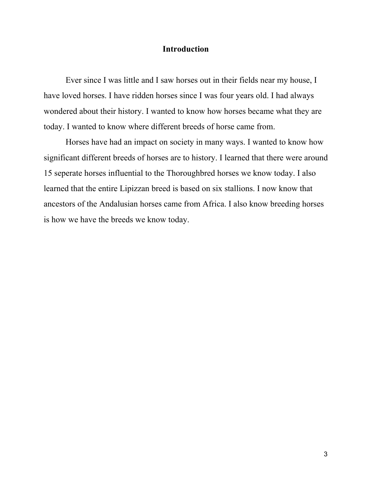#### **Introduction**

Ever since I was little and I saw horses out in their fields near my house, I have loved horses. I have ridden horses since I was four years old. I had always wondered about their history. I wanted to know how horses became what they are today. I wanted to know where different breeds of horse came from.

Horses have had an impact on society in many ways. I wanted to know how significant different breeds of horses are to history. I learned that there were around 15 seperate horses influential to the Thoroughbred horses we know today. I also learned that the entire Lipizzan breed is based on six stallions. I now know that ancestors of the Andalusian horses came from Africa. I also know breeding horses is how we have the breeds we know today.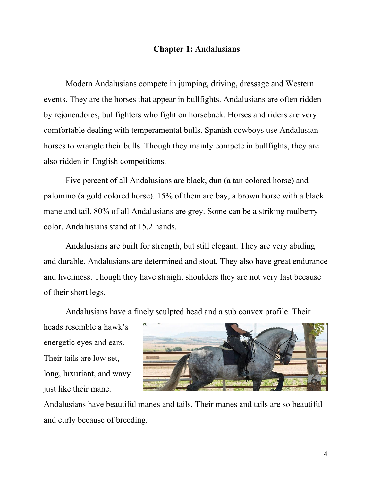#### **Chapter 1: Andalusians**

Modern Andalusians compete in jumping, driving, dressage and Western events. They are the horses that appear in bullfights. Andalusians are often ridden by rejoneadores, bullfighters who fight on horseback. Horses and riders are very comfortable dealing with temperamental bulls. Spanish cowboys use Andalusian horses to wrangle their bulls. Though they mainly compete in bullfights, they are also ridden in English competitions.

Five percent of all Andalusians are black, dun (a tan colored horse) and palomino (a gold colored horse). 15% of them are bay, a brown horse with a black mane and tail. 80% of all Andalusians are grey. Some can be a striking mulberry color. Andalusians stand at 15.2 hands.

Andalusians are built for strength, but still elegant. They are very abiding and durable. Andalusians are determined and stout. They also have great endurance and liveliness. Though they have straight shoulders they are not very fast because of their short legs.

Andalusians have a finely sculpted head and a sub convex profile. Their

heads resemble a hawk's energetic eyes and ears. Their tails are low set, long, luxuriant, and wavy just like their mane.



Andalusians have beautiful manes and tails. Their manes and tails are so beautiful and curly because of breeding.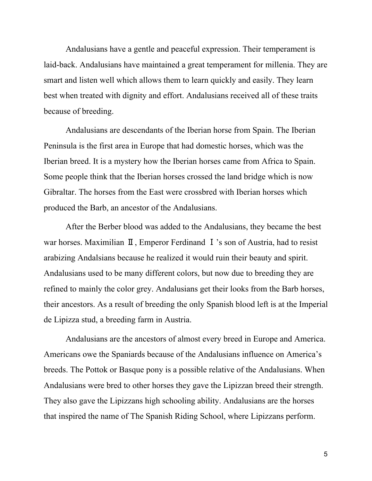Andalusians have a gentle and peaceful expression. Their temperament is laid-back. Andalusians have maintained a great temperament for millenia. They are smart and listen well which allows them to learn quickly and easily. They learn best when treated with dignity and effort. Andalusians received all of these traits because of breeding.

Andalusians are descendants of the Iberian horse from Spain. The Iberian Peninsula is the first area in Europe that had domestic horses, which was the Iberian breed. It is a mystery how the Iberian horses came from Africa to Spain. Some people think that the Iberian horses crossed the land bridge which is now Gibraltar. The horses from the East were crossbred with Iberian horses which produced the Barb, an ancestor of the Andalusians.

After the Berber blood was added to the Andalusians, they became the best war horses. Maximilian Ⅱ, Emperor Ferdinand Ⅰ's son of Austria, had to resist arabizing Andalsians because he realized it would ruin their beauty and spirit. Andalusians used to be many different colors, but now due to breeding they are refined to mainly the color grey. Andalusians get their looks from the Barb horses, their ancestors. As a result of breeding the only Spanish blood left is at the Imperial de Lipizza stud, a breeding farm in Austria.

Andalusians are the ancestors of almost every breed in Europe and America. Americans owe the Spaniards because of the Andalusians influence on America's breeds. The Pottok or Basque pony is a possible relative of the Andalusians. When Andalusians were bred to other horses they gave the Lipizzan breed their strength. They also gave the Lipizzans high schooling ability. Andalusians are the horses that inspired the name of The Spanish Riding School, where Lipizzans perform.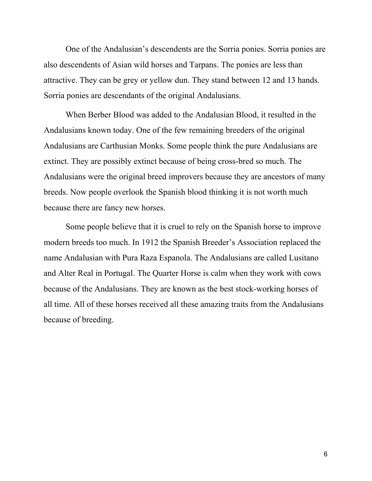One of the Andalusian's descendents are the Sorria ponies. Sorria ponies are also descendents of Asian wild horses and Tarpans. The ponies are less than attractive. They can be grey or yellow dun. They stand between 12 and 13 hands. Sorria ponies are descendants of the original Andalusians.

When Berber Blood was added to the Andalusian Blood, it resulted in the Andalusians known today. One of the few remaining breeders of the original Andalusians are Carthusian Monks. Some people think the pure Andalusians are extinct. They are possibly extinct because of being cross-bred so much. The Andalusians were the original breed improvers because they are ancestors of many breeds. Now people overlook the Spanish blood thinking it is not worth much because there are fancy new horses.

Some people believe that it is cruel to rely on the Spanish horse to improve modern breeds too much. In 1912 the Spanish Breeder's Association replaced the name Andalusian with Pura Raza Espanola. The Andalusians are called Lusitano and Alter Real in Portugal. The Quarter Horse is calm when they work with cows because of the Andalusians. They are known as the best stock-working horses of all time. All of these horses received all these amazing traits from the Andalusians because of breeding.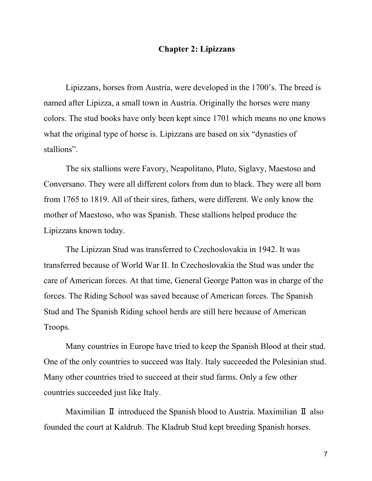#### **Chapter 2: Lipizzans**

Lipizzans, horses from Austria, were developed in the 1700's. The breed is named after Lipizza, a small town in Austria. Originally the horses were many colors. The stud books have only been kept since 1701 which means no one knows what the original type of horse is. Lipizzans are based on six "dynasties of stallions".

The six stallions were Favory, Neapolitano, Pluto, Siglavy, Maestoso and Conversano. They were all different colors from dun to black. They were all born from 1765 to 1819. All of their sires, fathers, were different. We only know the mother of Maestoso, who was Spanish. These stallions helped produce the Lipizzans known today.

The Lipizzan Stud was transferred to Czechoslovakia in 1942. It was transferred because of World War II. In Czechoslovakia the Stud was under the care of American forces. At that time, General George Patton was in charge of the forces. The Riding School was saved because of American forces. The Spanish Stud and The Spanish Riding school herds are still here because of American Troops.

Many countries in Europe have tried to keep the Spanish Blood at their stud. One of the only countries to succeed was Italy. Italy succeeded the Polesinian stud. Many other countries tried to succeed at their stud farms. Only a few other countries succeeded just like Italy.

Maximilian Ⅱ introduced the Spanish blood to Austria. Maximilian Ⅱ also founded the court at Kaldrub. The Kladrub Stud kept breeding Spanish horses.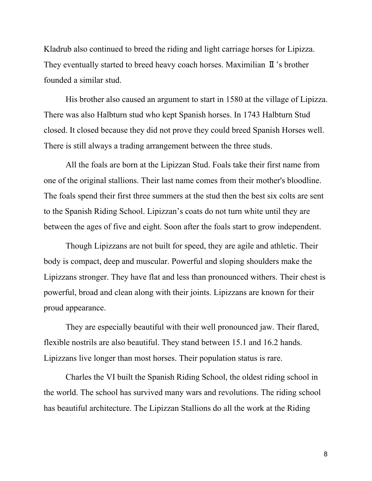Kladrub also continued to breed the riding and light carriage horses for Lipizza. They eventually started to breed heavy coach horses. Maximilian Ⅱ's brother founded a similar stud.

His brother also caused an argument to start in 1580 at the village of Lipizza. There was also Halbturn stud who kept Spanish horses. In 1743 Halbturn Stud closed. It closed because they did not prove they could breed Spanish Horses well. There is still always a trading arrangement between the three studs.

All the foals are born at the Lipizzan Stud. Foals take their first name from one of the original stallions. Their last name comes from their mother's bloodline. The foals spend their first three summers at the stud then the best six colts are sent to the Spanish Riding School. Lipizzan's coats do not turn white until they are between the ages of five and eight. Soon after the foals start to grow independent.

Though Lipizzans are not built for speed, they are agile and athletic. Their body is compact, deep and muscular. Powerful and sloping shoulders make the Lipizzans stronger. They have flat and less than pronounced withers. Their chest is powerful, broad and clean along with their joints. Lipizzans are known for their proud appearance.

They are especially beautiful with their well pronounced jaw. Their flared, flexible nostrils are also beautiful. They stand between 15.1 and 16.2 hands. Lipizzans live longer than most horses. Their population status is rare.

Charles the VI built the Spanish Riding School, the oldest riding school in the world. The school has survived many wars and revolutions. The riding school has beautiful architecture. The Lipizzan Stallions do all the work at the Riding

8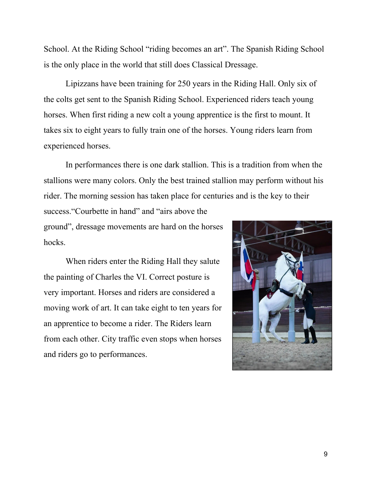School. At the Riding School "riding becomes an art". The Spanish Riding School is the only place in the world that still does Classical Dressage.

Lipizzans have been training for 250 years in the Riding Hall. Only six of the colts get sent to the Spanish Riding School. Experienced riders teach young horses. When first riding a new colt a young apprentice is the first to mount. It takes six to eight years to fully train one of the horses. Young riders learn from experienced horses.

In performances there is one dark stallion. This is a tradition from when the stallions were many colors. Only the best trained stallion may perform without his rider. The morning session has taken place for centuries and is the key to their

success. "Courbette in hand" and "airs above the ground", dressage movements are hard on the horses hocks.

When riders enter the Riding Hall they salute the painting of Charles the VI. Correct posture is very important. Horses and riders are considered a moving work of art. It can take eight to ten years for an apprentice to become a rider. The Riders learn from each other. City traffic even stops when horses and riders go to performances.

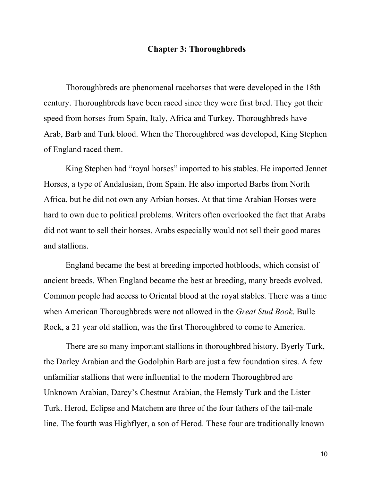#### **Chapter 3: Thoroughbreds**

Thoroughbreds are phenomenal racehorses that were developed in the 18th century. Thoroughbreds have been raced since they were first bred. They got their speed from horses from Spain, Italy, Africa and Turkey. Thoroughbreds have Arab, Barb and Turk blood. When the Thoroughbred was developed, King Stephen of England raced them.

King Stephen had "royal horses" imported to his stables. He imported Jennet Horses, a type of Andalusian, from Spain. He also imported Barbs from North Africa, but he did not own any Arbian horses. At that time Arabian Horses were hard to own due to political problems. Writers often overlooked the fact that Arabs did not want to sell their horses. Arabs especially would not sell their good mares and stallions.

England became the best at breeding imported hotbloods, which consist of ancient breeds. When England became the best at breeding, many breeds evolved. Common people had access to Oriental blood at the royal stables. There was a time when American Thoroughbreds were not allowed in the *Great Stud Book*. Bulle Rock, a 21 year old stallion, was the first Thoroughbred to come to America.

There are so many important stallions in thoroughbred history. Byerly Turk, the Darley Arabian and the Godolphin Barb are just a few foundation sires. A few unfamiliar stallions that were influential to the modern Thoroughbred are Unknown Arabian, Darcy's Chestnut Arabian, the Hemsly Turk and the Lister Turk. Herod, Eclipse and Matchem are three of the four fathers of the tail-male line. The fourth was Highflyer, a son of Herod. These four are traditionally known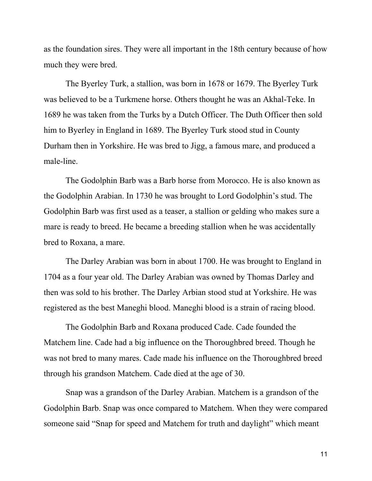as the foundation sires. They were all important in the 18th century because of how much they were bred.

The Byerley Turk, a stallion, was born in 1678 or 1679. The Byerley Turk was believed to be a Turkmene horse. Others thought he was an Akhal-Teke. In 1689 he was taken from the Turks by a Dutch Officer. The Duth Officer then sold him to Byerley in England in 1689. The Byerley Turk stood stud in County Durham then in Yorkshire. He was bred to Jigg, a famous mare, and produced a male-line.

The Godolphin Barb was a Barb horse from Morocco. He is also known as the Godolphin Arabian. In 1730 he was brought to Lord Godolphin's stud. The Godolphin Barb was first used as a teaser, a stallion or gelding who makes sure a mare is ready to breed. He became a breeding stallion when he was accidentally bred to Roxana, a mare.

The Darley Arabian was born in about 1700. He was brought to England in 1704 as a four year old. The Darley Arabian was owned by Thomas Darley and then was sold to his brother. The Darley Arbian stood stud at Yorkshire. He was registered as the best Maneghi blood. Maneghi blood is a strain of racing blood.

The Godolphin Barb and Roxana produced Cade. Cade founded the Matchem line. Cade had a big influence on the Thoroughbred breed. Though he was not bred to many mares. Cade made his influence on the Thoroughbred breed through his grandson Matchem. Cade died at the age of 30.

Snap was a grandson of the Darley Arabian. Matchem is a grandson of the Godolphin Barb. Snap was once compared to Matchem. When they were compared someone said "Snap for speed and Matchem for truth and daylight" which meant

11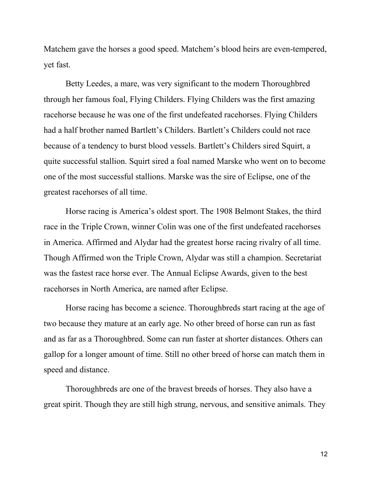Matchem gave the horses a good speed. Matchem's blood heirs are even-tempered, yet fast.

Betty Leedes, a mare, was very significant to the modern Thoroughbred through her famous foal, Flying Childers. Flying Childers was the first amazing racehorse because he was one of the first undefeated racehorses. Flying Childers had a half brother named Bartlett's Childers. Bartlett's Childers could not race because of a tendency to burst blood vessels. Bartlett's Childers sired Squirt, a quite successful stallion. Squirt sired a foal named Marske who went on to become one of the most successful stallions. Marske was the sire of Eclipse, one of the greatest racehorses of all time.

Horse racing is America's oldest sport. The 1908 Belmont Stakes, the third race in the Triple Crown, winner Colin was one of the first undefeated racehorses in America. Affirmed and Alydar had the greatest horse racing rivalry of all time. Though Affirmed won the Triple Crown, Alydar was still a champion. Secretariat was the fastest race horse ever. The Annual Eclipse Awards, given to the best racehorses in North America, are named after Eclipse.

Horse racing has become a science. Thoroughbreds start racing at the age of two because they mature at an early age. No other breed of horse can run as fast and as far as a Thoroughbred. Some can run faster at shorter distances. Others can gallop for a longer amount of time. Still no other breed of horse can match them in speed and distance.

Thoroughbreds are one of the bravest breeds of horses. They also have a great spirit. Though they are still high strung, nervous, and sensitive animals. They

12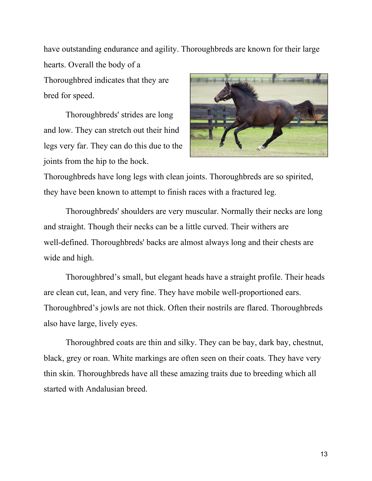have outstanding endurance and agility. Thoroughbreds are known for their large hearts. Overall the body of a

Thoroughbred indicates that they are bred for speed.

Thoroughbreds' strides are long and low. They can stretch out their hind legs very far. They can do this due to the joints from the hip to the hock.



Thoroughbreds have long legs with clean joints. Thoroughbreds are so spirited, they have been known to attempt to finish races with a fractured leg.

Thoroughbreds' shoulders are very muscular. Normally their necks are long and straight. Though their necks can be a little curved. Their withers are well-defined. Thoroughbreds' backs are almost always long and their chests are wide and high.

Thoroughbred's small, but elegant heads have a straight profile. Their heads are clean cut, lean, and very fine. They have mobile well-proportioned ears. Thoroughbred's jowls are not thick. Often their nostrils are flared. Thoroughbreds also have large, lively eyes.

Thoroughbred coats are thin and silky. They can be bay, dark bay, chestnut, black, grey or roan. White markings are often seen on their coats. They have very thin skin. Thoroughbreds have all these amazing traits due to breeding which all started with Andalusian breed.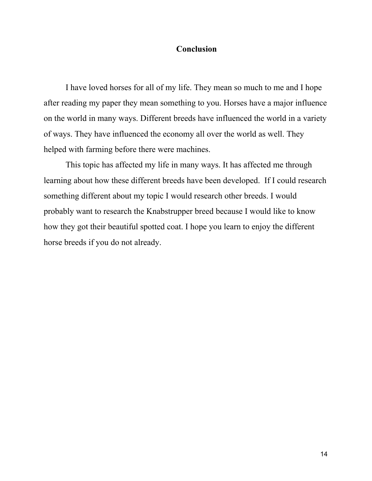#### **Conclusion**

I have loved horses for all of my life. They mean so much to me and I hope after reading my paper they mean something to you. Horses have a major influence on the world in many ways. Different breeds have influenced the world in a variety of ways. They have influenced the economy all over the world as well. They helped with farming before there were machines.

This topic has affected my life in many ways. It has affected me through learning about how these different breeds have been developed. If I could research something different about my topic I would research other breeds. I would probably want to research the Knabstrupper breed because I would like to know how they got their beautiful spotted coat. I hope you learn to enjoy the different horse breeds if you do not already.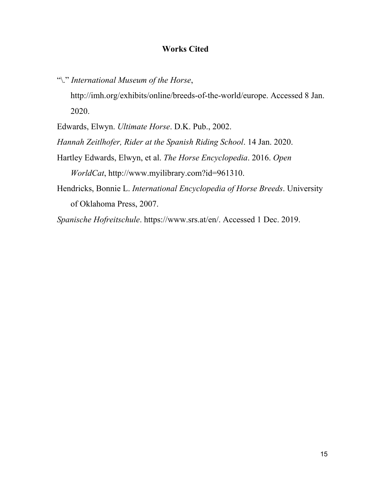#### **Works Cited**

"\." *International Museum of the Horse*, http://imh.org/exhibits/online/breeds-of-the-world/europe. Accessed 8 Jan. 2020.

Edwards, Elwyn. *Ultimate Horse*. D.K. Pub., 2002.

*Hannah Zeitlhofer, Rider at the Spanish Riding School*. 14 Jan. 2020.

- Hartley Edwards, Elwyn, et al. *The Horse Encyclopedia*. 2016. *Open WorldCat*, http://www.myilibrary.com?id=961310.
- Hendricks, Bonnie L. *International Encyclopedia of Horse Breeds*. University of Oklahoma Press, 2007.

*Spanische Hofreitschule*. https://www.srs.at/en/. Accessed 1 Dec. 2019.